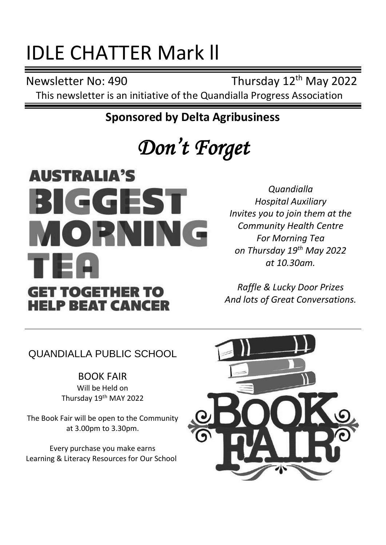## IDLE CHATTER Mark ll

Newsletter No: 490 Thursday 12<sup>th</sup> May 2022

This newsletter is an initiative of the Quandialla Progress Association

**Sponsored by Delta Agribusiness**

## *Don't Forget*

## **AUSTRALIA'S BIGGEST** MOPNING TEI **GET TOGETHER TO HELP BEAT CANCER**

*Quandialla Hospital Auxiliary Invites you to join them at the Community Health Centre For Morning Tea on Thursday 19th May 2022 at 10.30am.* 

*Raffle & Lucky Door Prizes And lots of Great Conversations.*

QUANDIALLA PUBLIC SCHOOL

BOOK FAIR Will be Held on Thursday 19<sup>th</sup> MAY 2022

The Book Fair will be open to the Community at 3.00pm to 3.30pm.

Every purchase you make earns Learning & Literacy Resources for Our School

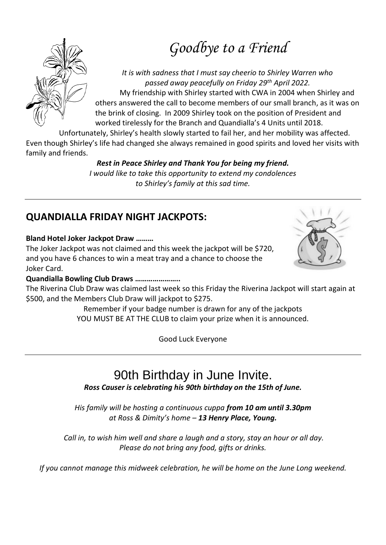### *Goodbye to a Friend*

*It is with sadness that I must say cheerio to Shirley Warren who passed away peacefully on Friday 29th April 2022.* My friendship with Shirley started with CWA in 2004 when Shirley and others answered the call to become members of our small branch, as it was on the brink of closing. In 2009 Shirley took on the position of President and worked tirelessly for the Branch and Quandialla's 4 Units until 2018.

Unfortunately, Shirley's health slowly started to fail her, and her mobility was affected. Even though Shirley's life had changed she always remained in good spirits and loved her visits with family and friends.

#### *Rest in Peace Shirley and Thank You for being my friend.*

*I would like to take this opportunity to extend my condolences to Shirley's family at this sad time.*

#### **QUANDIALLA FRIDAY NIGHT JACKPOTS:**

#### **Bland Hotel Joker Jackpot Draw ………**

The Joker Jackpot was not claimed and this week the jackpot will be \$720, and you have 6 chances to win a meat tray and a chance to choose the Joker Card.

#### **Quandialla Bowling Club Draws …………………..**

The Riverina Club Draw was claimed last week so this Friday the Riverina Jackpot will start again at \$500, and the Members Club Draw will jackpot to \$275.

Remember if your badge number is drawn for any of the jackpots YOU MUST BE AT THE CLUB to claim your prize when it is announced.

Good Luck Everyone

#### 90th Birthday in June Invite. *Ross Causer is celebrating his 90th birthday on the 15th of June.*

*His family will be hosting a continuous cuppa from 10 am until 3.30pm at Ross & Dimity's home – 13 Henry Place, Young.*

*Call in, to wish him well and share a laugh and a story, stay an hour or all day. Please do not bring any food, gifts or drinks.*

*If you cannot manage this midweek celebration, he will be home on the June Long weekend.*



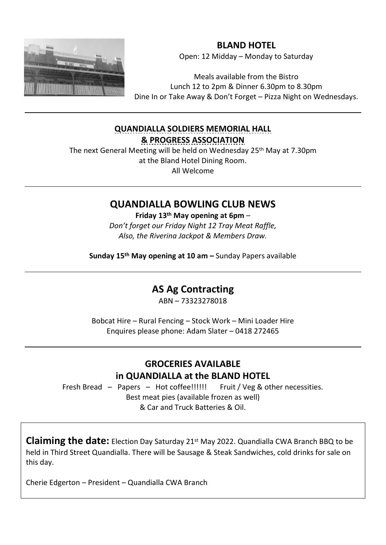

**BLAND HOTEL** Open: 12 Midday – Monday to Saturday

Meals available from the Bistro Lunch 12 to 2pm & Dinner 6.30pm to 8.30pm Dine In or Take Away & Don't Forget – Pizza Night on Wednesdays.

#### **QUANDIALLA SOLDIERS MEMORIAL HALL & PROGRESS ASSOCIATION**

The next General Meeting will be held on Wednesday 25<sup>th</sup> May at 7.30pm at the Bland Hotel Dining Room. All Welcome

#### **QUANDIALLA BOWLING CLUB NEWS**

**Friday 13th May opening at 6pm** – *Don't forget our Friday Night 12 Tray Meat Raffle, Also, the Riverina Jackpot & Members Draw.*

**Sunday 15th May opening at 10 am –** Sunday Papers available

#### **AS Ag Contracting**

ABN – 73323278018

Bobcat Hire – Rural Fencing – Stock Work – Mini Loader Hire Enquires please phone: Adam Slater – 0418 272465

#### **GROCERIES AVAILABLE in QUANDIALLA at the BLAND HOTEL**

Fresh Bread – Papers – Hot coffee!!!!!! Fruit / Veg & other necessities. Best meat pies (available frozen as well) & Car and Truck Batteries & Oil.

**Claiming the date:** Election Day Saturday 21st May 2022. Quandialla CWA Branch BBQ to be held in Third Street Quandialla. There will be Sausage & Steak Sandwiches, cold drinks for sale on this day.

Cherie Edgerton – President – Quandialla CWA Branch